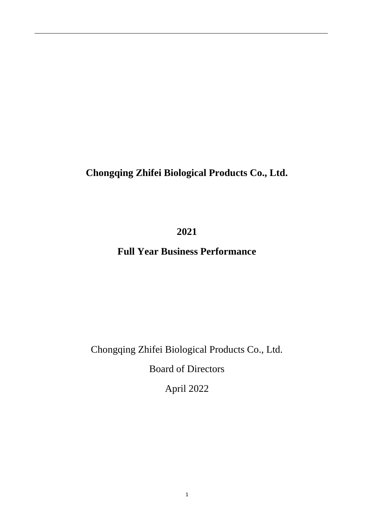# **Chongqing Zhifei Biological Products Co., Ltd.**

**2021** 

# **Full Year Business Performance**

# Chongqing Zhifei Biological Products Co., Ltd.

Board of Directors

April 2022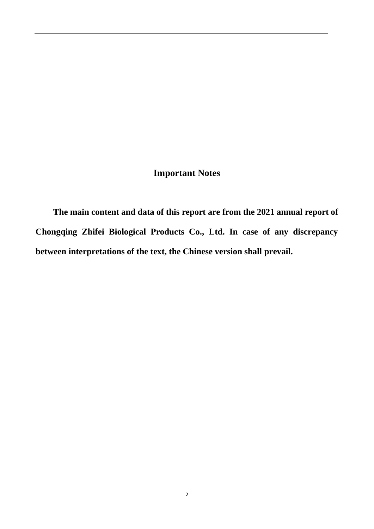# **Important Notes**

**The main content and data of this report are from the 2021 annual report of Chongqing Zhifei Biological Products Co., Ltd. In case of any discrepancy between interpretations of the text, the Chinese version shall prevail.**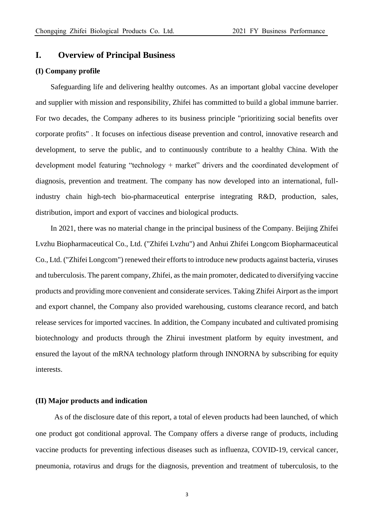### **I. Overview of Principal Business**

#### **(I) Company profile**

Safeguarding life and delivering healthy outcomes. As an important global vaccine developer and supplier with mission and responsibility, Zhifei has committed to build a global immune barrier. For two decades, the Company adheres to its business principle "prioritizing social benefits over corporate profits" . It focuses on infectious disease prevention and control, innovative research and development, to serve the public, and to continuously contribute to a healthy China. With the development model featuring "technology + market" drivers and the coordinated development of diagnosis, prevention and treatment. The company has now developed into an international, fullindustry chain high-tech bio-pharmaceutical enterprise integrating R&D, production, sales, distribution, import and export of vaccines and biological products.

In 2021, there was no material change in the principal business of the Company. Beijing Zhifei Lvzhu Biopharmaceutical Co., Ltd. ("Zhifei Lvzhu") and Anhui Zhifei Longcom Biopharmaceutical Co., Ltd. ("Zhifei Longcom") renewed their efforts to introduce new products against bacteria, viruses and tuberculosis. The parent company, Zhifei, as the main promoter, dedicated to diversifying vaccine products and providing more convenient and considerate services. Taking Zhifei Airport as the import and export channel, the Company also provided warehousing, customs clearance record, and batch release services for imported vaccines. In addition, the Company incubated and cultivated promising biotechnology and products through the Zhirui investment platform by equity investment, and ensured the layout of the mRNA technology platform through INNORNA by subscribing for equity interests.

### **(II) Major products and indication**

As of the disclosure date of this report, a total of eleven products had been launched, of which one product got conditional approval. The Company offers a diverse range of products, including vaccine products for preventing infectious diseases such as influenza, COVID-19, cervical cancer, pneumonia, rotavirus and drugs for the diagnosis, prevention and treatment of tuberculosis, to the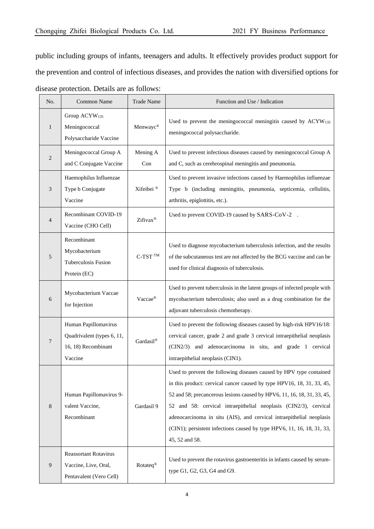public including groups of infants, teenagers and adults. It effectively provides product support for the prevention and control of infectious diseases, and provides the nation with diversified options for disease protection. Details are as follows:

| No.            | <b>Common Name</b>                                                                   | <b>Trade Name</b>     | Function and Use / Indication                                                                                                                                                                                                                                                                                                                                                                                                                                    |
|----------------|--------------------------------------------------------------------------------------|-----------------------|------------------------------------------------------------------------------------------------------------------------------------------------------------------------------------------------------------------------------------------------------------------------------------------------------------------------------------------------------------------------------------------------------------------------------------------------------------------|
| $\mathbf{1}$   | Group ACYW <sub>135</sub><br>Meningococcal<br>Polysaccharide Vaccine                 | Menwayc®              | Used to prevent the meningococcal meningitis caused by ACYW135<br>meningococcal polysaccharide.                                                                                                                                                                                                                                                                                                                                                                  |
| $\overline{2}$ | Meningococcal Group A<br>and C Conjugate Vaccine                                     | Mening A<br>Con       | Used to prevent infectious diseases caused by meningococcal Group A<br>and C, such as cerebrospinal meningitis and pneumonia.                                                                                                                                                                                                                                                                                                                                    |
| 3              | Haemophilus Influenzae<br>Type b Conjugate<br>Vaccine                                | Xifeibei <sup>®</sup> | Used to prevent invasive infections caused by Haemophilus influenzae<br>Type b (including meningitis, pneumonia, septicemia, cellulitis,<br>arthritis, epiglottitis, etc.).                                                                                                                                                                                                                                                                                      |
| $\overline{4}$ | Recombinant COVID-19<br>Vaccine (CHO Cell)                                           | Zifivax®              | Used to prevent COVID-19 caused by SARS-CoV-2                                                                                                                                                                                                                                                                                                                                                                                                                    |
| 5              | Recombinant<br>Mycobacterium<br>Tuberculosis Fusion<br>Protein (EC)                  | $C-TST$ <sup>TM</sup> | Used to diagnose mycobacterium tuberculosis infection, and the results<br>of the subcutaneous test are not affected by the BCG vaccine and can be<br>used for clinical diagnosis of tuberculosis.                                                                                                                                                                                                                                                                |
| 6              | Mycobacterium Vaccae<br>for Injection                                                | Vaccae®               | Used to prevent tuberculosis in the latent groups of infected people with<br>mycobacterium tuberculosis; also used as a drug combination for the<br>adjuvant tuberculosis chemotherapy.                                                                                                                                                                                                                                                                          |
| 7              | Human Papillomavirus<br>Quadrivalent (types 6, 11,<br>16, 18) Recombinant<br>Vaccine | Gardasil®             | Used to prevent the following diseases caused by high-risk HPV16/18:<br>cervical cancer, grade 2 and grade 3 cervical intraepithelial neoplasis<br>(CIN2/3) and adenocarcinoma in situ, and grade 1 cervical<br>intraepithelial neoplasis (CIN1).                                                                                                                                                                                                                |
| 8              | Human Papillomavirus 9-<br>valent Vaccine,<br>Recombinant                            | Gardasil 9            | Used to prevent the following diseases caused by HPV type contained<br>in this product: cervical cancer caused by type HPV16, 18, 31, 33, 45,<br>52 and 58; precancerous lesions caused by HPV6, 11, 16, 18, 31, 33, 45,<br>52 and 58: cervical intraepithelial neoplasis (CIN2/3), cervical<br>adenocarcinoma in situ (AIS), and cervical intraepithelial neoplasis<br>(CIN1); persistent infections caused by type HPV6, 11, 16, 18, 31, 33,<br>45, 52 and 58. |
| $\overline{9}$ | <b>Reassortant Rotavirus</b><br>Vaccine, Live, Oral,<br>Pentavalent (Vero Cell)      | Rotateq <sup>®</sup>  | Used to prevent the rotavirus gastroenteritis in infants caused by serum-<br>type G1, G2, G3, G4 and G9.                                                                                                                                                                                                                                                                                                                                                         |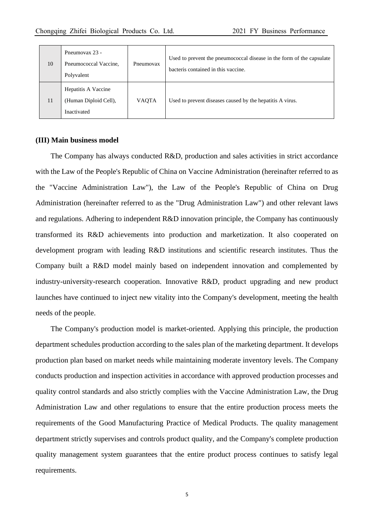| 10 | Pneumovax 23 -<br>Pneumococcal Vaccine,<br>Polyvalent       | Pneumovax    | Used to prevent the pneumococcal disease in the form of the capsulate<br>bacteris contained in this vaccine. |
|----|-------------------------------------------------------------|--------------|--------------------------------------------------------------------------------------------------------------|
| 11 | Hepatitis A Vaccine<br>(Human Diploid Cell),<br>Inactivated | <b>VAQTA</b> | Used to prevent diseases caused by the hepatitis A virus.                                                    |

### **(III) Main business model**

The Company has always conducted R&D, production and sales activities in strict accordance with the Law of the People's Republic of China on Vaccine Administration (hereinafter referred to as the "Vaccine Administration Law"), the Law of the People's Republic of China on Drug Administration (hereinafter referred to as the "Drug Administration Law") and other relevant laws and regulations. Adhering to independent R&D innovation principle, the Company has continuously transformed its R&D achievements into production and marketization. It also cooperated on development program with leading R&D institutions and scientific research institutes. Thus the Company built a R&D model mainly based on independent innovation and complemented by industry-university-research cooperation. Innovative R&D, product upgrading and new product launches have continued to inject new vitality into the Company's development, meeting the health needs of the people.

The Company's production model is market-oriented. Applying this principle, the production department schedules production according to the sales plan of the marketing department. It develops production plan based on market needs while maintaining moderate inventory levels. The Company conducts production and inspection activities in accordance with approved production processes and quality control standards and also strictly complies with the Vaccine Administration Law, the Drug Administration Law and other regulations to ensure that the entire production process meets the requirements of the Good Manufacturing Practice of Medical Products. The quality management department strictly supervises and controls product quality, and the Company's complete production quality management system guarantees that the entire product process continues to satisfy legal requirements.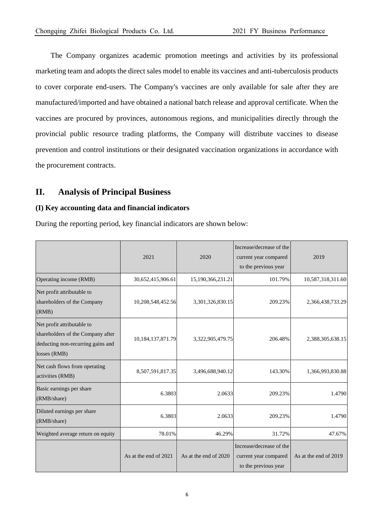The Company organizes academic promotion meetings and activities by its professional marketing team and adopts the direct sales model to enable its vaccines and anti-tuberculosis products to cover corporate end-users. The Company's vaccines are only available for sale after they are manufactured/imported and have obtained a national batch release and approval certificate. When the vaccines are procured by provinces, autonomous regions, and municipalities directly through the provincial public resource trading platforms, the Company will distribute vaccines to disease prevention and control institutions or their designated vaccination organizations in accordance with the procurement contracts.

## **II. Analysis of Principal Business**

### **(I) Key accounting data and financial indicators**

During the reporting period, key financial indicators are shown below:

|                                                                                                                      | 2021                  | 2020                  | Increase/decrease of the<br>current year compared<br>to the previous year | 2019                  |
|----------------------------------------------------------------------------------------------------------------------|-----------------------|-----------------------|---------------------------------------------------------------------------|-----------------------|
| Operating income (RMB)                                                                                               | 30,652,415,906.61     | 15,190,366,231.21     | 101.79%                                                                   | 10,587,318,311.60     |
| Net profit attributable to<br>shareholders of the Company<br>(RMB)                                                   | 10,208,548,452.56     | 3,301,326,830.15      | 209.23%                                                                   | 2,366,438,733.29      |
| Net profit attributable to<br>shareholders of the Company after<br>deducting non-recurring gains and<br>losses (RMB) | 10,184,137,871.79     | 3,322,905,479.75      | 206.48%                                                                   | 2,388,305,638.15      |
| Net cash flows from operating<br>activities (RMB)                                                                    | 8,507,591,817.35      | 3,496,688,940.12      | 143.30%                                                                   | 1,366,993,830.88      |
| Basic earnings per share<br>(RMB/share)                                                                              | 6.3803                | 2.0633                | 209.23%                                                                   | 1.4790                |
| Diluted earnings per share<br>(RMB/share)                                                                            | 6.3803                | 2.0633                | 209.23%                                                                   | 1.4790                |
| Weighted average return on equity                                                                                    | 78.01%                | 46.29%                | 31.72%                                                                    | 47.67%                |
|                                                                                                                      | As at the end of 2021 | As at the end of 2020 | Increase/decrease of the<br>current year compared<br>to the previous year | As at the end of 2019 |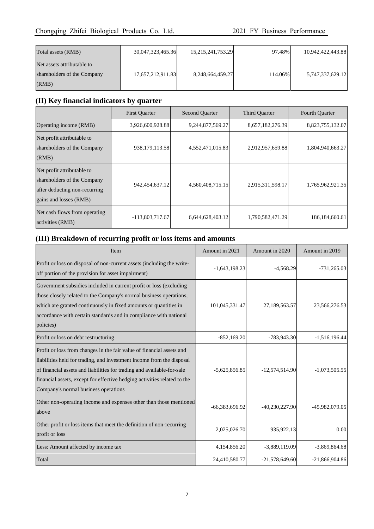| Total assets (RMB)                                                 | 30,047,323,465.36 | 15, 215, 241, 753. 29 | 97.48%  | 10,942,422,443.88 |
|--------------------------------------------------------------------|-------------------|-----------------------|---------|-------------------|
| Net assets attributable to<br>shareholders of the Company<br>(RMB) | 17,657,212,911.83 | 8,248,664,459.27      | 114.06% | 5,747,337,629.12  |

# **(II) Key financial indicators by quarter**

|                                                                                                                      | <b>First Quarter</b> | <b>Second Quarter</b> | Third Quarter    | Fourth Quarter    |
|----------------------------------------------------------------------------------------------------------------------|----------------------|-----------------------|------------------|-------------------|
| Operating income (RMB)                                                                                               | 3,926,600,928.88     | 9,244,877,569.27      | 8,657,182,276.39 | 8,823,755,132.07  |
| Net profit attributable to<br>shareholders of the Company<br>(RMB)                                                   | 938,179,113.58       | 4,552,471,015.83      | 2,912,957,659.88 | 1,804,940,663.27  |
| Net profit attributable to<br>shareholders of the Company<br>after deducting non-recurring<br>gains and losses (RMB) | 942, 454, 637. 12    | 4,560,408,715.15      | 2,915,311,598.17 | 1,765,962,921.35  |
| Net cash flows from operating<br>activities (RMB)                                                                    | $-113,803,717.67$    | 6,644,628,403.12      | 1,790,582,471.29 | 186, 184, 660. 61 |

# **(III) Breakdown of recurring profit or loss items and amounts**

| Item                                                                                                                                                                                                                                                                                                                                         | Amount in 2021  | Amount in 2020   | Amount in 2019   |
|----------------------------------------------------------------------------------------------------------------------------------------------------------------------------------------------------------------------------------------------------------------------------------------------------------------------------------------------|-----------------|------------------|------------------|
| Profit or loss on disposal of non-current assets (including the write-<br>off portion of the provision for asset impairment)                                                                                                                                                                                                                 | $-1,643,198.23$ | $-4,568.29$      | $-731,265.03$    |
| Government subsidies included in current profit or loss (excluding<br>those closely related to the Company's normal business operations,<br>which are granted continuously in fixed amounts or quantities in<br>accordance with certain standards and in compliance with national<br>policies)                                               | 101,045,331.47  | 27,189,563.57    | 23,566,276.53    |
| Profit or loss on debt restructuring                                                                                                                                                                                                                                                                                                         | $-852,169.20$   | -783,943.30      | $-1,516,196.44$  |
| Profit or loss from changes in the fair value of financial assets and<br>liabilities held for trading, and investment income from the disposal<br>of financial assets and liabilities for trading and available-for-sale<br>financial assets, except for effective hedging activities related to the<br>Company's normal business operations | $-5,625,856.85$ | $-12,574,514.90$ | $-1,073,505.55$  |
| Other non-operating income and expenses other than those mentioned<br>above                                                                                                                                                                                                                                                                  | -66,383,696.92  | $-40,230,227.90$ | -45,982,079.05   |
| Other profit or loss items that meet the definition of non-recurring<br>profit or loss                                                                                                                                                                                                                                                       | 2,025,026.70    | 935,922.13       | 0.00             |
| Less: Amount affected by income tax                                                                                                                                                                                                                                                                                                          | 4,154,856.20    | $-3,889,119.09$  | $-3,869,864.68$  |
| Total                                                                                                                                                                                                                                                                                                                                        | 24,410,580.77   | $-21,578,649.60$ | $-21,866,904.86$ |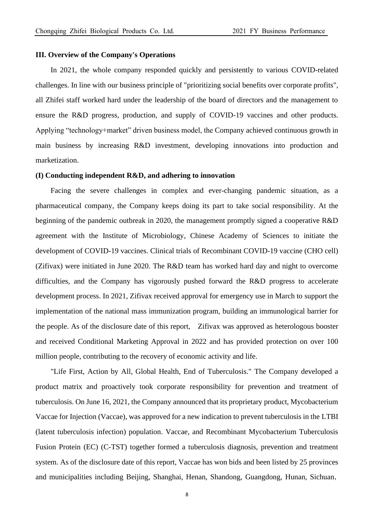### **III. Overview of the Company's Operations**

In 2021, the whole company responded quickly and persistently to various COVID-related challenges. In line with our business principle of "prioritizing social benefits over corporate profits", all Zhifei staff worked hard under the leadership of the board of directors and the management to ensure the R&D progress, production, and supply of COVID-19 vaccines and other products. Applying "technology+market" driven business model, the Company achieved continuous growth in main business by increasing R&D investment, developing innovations into production and marketization.

### **(I) Conducting independent R&D, and adhering to innovation**

Facing the severe challenges in complex and ever-changing pandemic situation, as a pharmaceutical company, the Company keeps doing its part to take social responsibility. At the beginning of the pandemic outbreak in 2020, the management promptly signed a cooperative R&D agreement with the Institute of Microbiology, Chinese Academy of Sciences to initiate the development of COVID-19 vaccines. Clinical trials of Recombinant COVID-19 vaccine (CHO cell) (Zifivax) were initiated in June 2020. The R&D team has worked hard day and night to overcome difficulties, and the Company has vigorously pushed forward the R&D progress to accelerate development process. In 2021, Zifivax received approval for emergency use in March to support the implementation of the national mass immunization program, building an immunological barrier for the people. As of the disclosure date of this report, Zifivax was approved as heterologous booster and received Conditional Marketing Approval in 2022 and has provided protection on over 100 million people, contributing to the recovery of economic activity and life.

"Life First, Action by All, Global Health, End of Tuberculosis." The Company developed a product matrix and proactively took corporate responsibility for prevention and treatment of tuberculosis. On June 16, 2021, the Company announced that its proprietary product, Mycobacterium Vaccae for Injection (Vaccae), was approved for a new indication to prevent tuberculosis in the LTBI (latent tuberculosis infection) population. Vaccae, and Recombinant Mycobacterium Tuberculosis Fusion Protein (EC) (C-TST) together formed a tuberculosis diagnosis, prevention and treatment system. As of the disclosure date of this report, Vaccae has won bids and been listed by 25 provinces and municipalities including Beijing, Shanghai, Henan, Shandong, Guangdong, Hunan, Sichuan,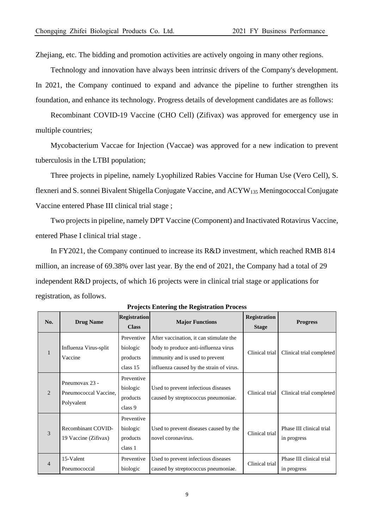Zhejiang, etc. The bidding and promotion activities are actively ongoing in many other regions.

Technology and innovation have always been intrinsic drivers of the Company's development. In 2021, the Company continued to expand and advance the pipeline to further strengthen its foundation, and enhance its technology. Progress details of development candidates are as follows:

Recombinant COVID-19 Vaccine (CHO Cell) (Zifivax) was approved for emergency use in multiple countries;

Mycobacterium Vaccae for Injection (Vaccae) was approved for a new indication to prevent tuberculosis in the LTBI population;

Three projects in pipeline, namely Lyophilized Rabies Vaccine for Human Use (Vero Cell), S. flexneri and S. sonnei Bivalent Shigella Conjugate Vaccine, and ACYW<sup>135</sup> Meningococcal Conjugate Vaccine entered Phase III clinical trial stage ;

Two projects in pipeline, namely DPT Vaccine (Component) and Inactivated Rotavirus Vaccine, entered Phase I clinical trial stage .

In FY2021, the Company continued to increase its R&D investment, which reached RMB 814 million, an increase of 69.38% over last year. By the end of 2021, the Company had a total of 29 independent R&D projects, of which 16 projects were in clinical trial stage or applications for registration, as follows.

| No.                         | <b>Drug Name</b>                                      | <b>Registration</b>                            | <b>Major Functions</b>                                                                                                                                         | <b>Registration</b> | <b>Progress</b>                         |
|-----------------------------|-------------------------------------------------------|------------------------------------------------|----------------------------------------------------------------------------------------------------------------------------------------------------------------|---------------------|-----------------------------------------|
|                             |                                                       | <b>Class</b>                                   |                                                                                                                                                                | <b>Stage</b>        |                                         |
| 1                           | Influenza Virus-split<br>Vaccine                      | Preventive<br>biologic<br>products<br>class 15 | After vaccination, it can stimulate the<br>body to produce anti-influenza virus<br>immunity and is used to prevent<br>influenza caused by the strain of virus. | Clinical trial      | Clinical trial completed                |
| $\mathcal{D}_{\mathcal{L}}$ | Pneumovax 23 -<br>Pneumococcal Vaccine.<br>Polyvalent | Preventive<br>biologic<br>products<br>class 9  | Used to prevent infectious diseases<br>caused by streptococcus pneumoniae.                                                                                     | Clinical trial      | Clinical trial completed                |
| $\mathcal{R}$               | Recombinant COVID-<br>19 Vaccine (Zifivax)            | Preventive<br>biologic<br>products<br>class 1  | Used to prevent diseases caused by the<br>novel coronavirus.                                                                                                   | Clinical trial      | Phase III clinical trial<br>in progress |
| $\overline{4}$              | 15-Valent<br>Pneumococcal                             | Preventive<br>biologic                         | Used to prevent infectious diseases<br>caused by streptococcus pneumoniae.                                                                                     | Clinical trial      | Phase III clinical trial<br>in progress |

**Projects Entering the Registration Process**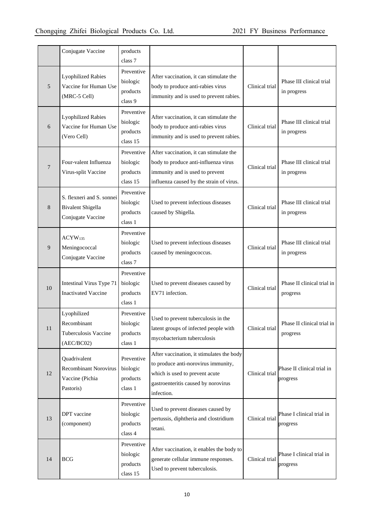|    | Conjugate Vaccine                                                            | products<br>class 7                            |                                                                                                                                                                         |                |                                         |
|----|------------------------------------------------------------------------------|------------------------------------------------|-------------------------------------------------------------------------------------------------------------------------------------------------------------------------|----------------|-----------------------------------------|
| 5  | <b>Lyophilized Rabies</b><br>Vaccine for Human Use<br>(MRC-5 Cell)           | Preventive<br>biologic<br>products<br>class 9  | After vaccination, it can stimulate the<br>body to produce anti-rabies virus<br>immunity and is used to prevent rabies.                                                 | Clinical trial | Phase III clinical trial<br>in progress |
| 6  | <b>Lyophilized Rabies</b><br>Vaccine for Human Use<br>(Vero Cell)            | Preventive<br>biologic<br>products<br>class 15 | After vaccination, it can stimulate the<br>body to produce anti-rabies virus<br>immunity and is used to prevent rabies.                                                 | Clinical trial | Phase III clinical trial<br>in progress |
| 7  | Four-valent Influenza<br>Virus-split Vaccine                                 | Preventive<br>biologic<br>products<br>class 15 | After vaccination, it can stimulate the<br>body to produce anti-influenza virus<br>immunity and is used to prevent<br>influenza caused by the strain of virus.          | Clinical trial | Phase III clinical trial<br>in progress |
| 8  | S. flexneri and S. sonnei<br>Bivalent Shigella<br>Conjugate Vaccine          | Preventive<br>biologic<br>products<br>class 1  | Used to prevent infectious diseases<br>caused by Shigella.                                                                                                              | Clinical trial | Phase III clinical trial<br>in progress |
| 9  | ACYW <sub>135</sub><br>Meningococcal<br>Conjugate Vaccine                    | Preventive<br>biologic<br>products<br>class 7  | Used to prevent infectious diseases<br>caused by meningococcus.                                                                                                         | Clinical trial | Phase III clinical trial<br>in progress |
| 10 | Intestinal Virus Type 71<br><b>Inactivated Vaccine</b>                       | Preventive<br>biologic<br>products<br>class 1  | Used to prevent diseases caused by<br>EV71 infection.                                                                                                                   | Clinical trial | Phase II clinical trial in<br>progress  |
| 11 | Lyophilized<br>Recombinant<br>Tuberculosis Vaccine<br>(AEC/BC02)             | Preventive<br>biologic<br>products<br>class 1  | Used to prevent tuberculosis in the<br>latent groups of infected people with<br>mycobacterium tuberculosis                                                              | Clinical trial | Phase II clinical trial in<br>progress  |
| 12 | Quadrivalent<br><b>Recombinant Norovirus</b><br>Vaccine (Pichia<br>Pastoris) | Preventive<br>biologic<br>products<br>class 1  | After vaccination, it stimulates the body<br>to produce anti-norovirus immunity,<br>which is used to prevent acute<br>gastroenteritis caused by norovirus<br>infection. | Clinical trial | Phase II clinical trial in<br>progress  |
| 13 | DPT vaccine<br>(component)                                                   | Preventive<br>biologic<br>products<br>class 4  | Used to prevent diseases caused by<br>pertussis, diphtheria and clostridium<br>tetani.                                                                                  | Clinical trial | Phase I clinical trial in<br>progress   |
| 14 | <b>BCG</b>                                                                   | Preventive<br>biologic<br>products<br>class 15 | After vaccination, it enables the body to<br>generate cellular immune responses.<br>Used to prevent tuberculosis.                                                       | Clinical trial | Phase I clinical trial in<br>progress   |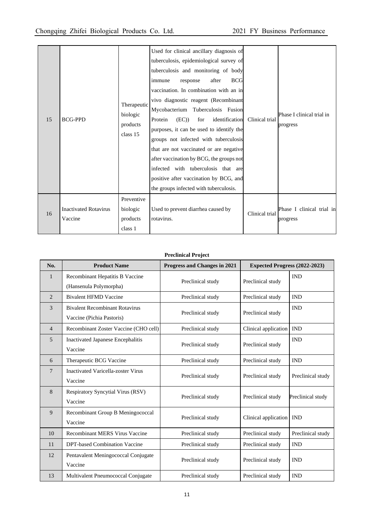| 15 | <b>BCG-PPD</b>                          | Therapeutic<br>biologic<br>products<br>class 15 | Used for clinical ancillary diagnosis of<br>tuberculosis, epidemiological survey of<br>tuberculosis and monitoring of body<br>after<br><b>BCG</b><br>response<br>immune<br>vaccination. In combination with an in<br>vivo diagnostic reagent (Recombinant<br>Mycobacterium Tuberculosis Fusion<br>(EC)<br>identification<br>Protein<br>for<br>purposes, it can be used to identify the<br>groups not infected with tuberculosis<br>that are not vaccinated or are negative<br>after vaccination by BCG, the groups not<br>infected with tuberculosis that are<br>positive after vaccination by BCG, and<br>the groups infected with tuberculosis. | Clinical trial | Phase I clinical trial in<br>progress |
|----|-----------------------------------------|-------------------------------------------------|---------------------------------------------------------------------------------------------------------------------------------------------------------------------------------------------------------------------------------------------------------------------------------------------------------------------------------------------------------------------------------------------------------------------------------------------------------------------------------------------------------------------------------------------------------------------------------------------------------------------------------------------------|----------------|---------------------------------------|
| 16 | <b>Inactivated Rotavirus</b><br>Vaccine | Preventive<br>biologic<br>products<br>class 1   | Used to prevent diarrhea caused by<br>rotavirus.                                                                                                                                                                                                                                                                                                                                                                                                                                                                                                                                                                                                  | Clinical trial | Phase I clinical trial in<br>progress |

### **Preclinical Project**

| No.            | <b>Product Name</b>                                                | Progress and Changes in 2021 | Expected Progress (2022-2023) |                   |
|----------------|--------------------------------------------------------------------|------------------------------|-------------------------------|-------------------|
| 1              | Recombinant Hepatitis B Vaccine<br>(Hansenula Polymorpha)          | Preclinical study            | Preclinical study             | <b>IND</b>        |
| $\overline{2}$ | <b>Bivalent HFMD Vaccine</b>                                       | Preclinical study            | Preclinical study             | <b>IND</b>        |
| 3              | <b>Bivalent Recombinant Rotavirus</b><br>Vaccine (Pichia Pastoris) | Preclinical study            | Preclinical study             | <b>IND</b>        |
| $\overline{4}$ | Recombinant Zoster Vaccine (CHO cell)                              | Preclinical study            | Clinical application          | <b>IND</b>        |
| 5              | <b>Inactivated Japanese Encephalitis</b><br>Vaccine                | Preclinical study            | Preclinical study             | <b>IND</b>        |
| 6              | Therapeutic BCG Vaccine                                            | Preclinical study            | Preclinical study             | <b>IND</b>        |
| 7              | <b>Inactivated Varicella-zoster Virus</b><br>Vaccine               | Preclinical study            | Preclinical study             | Preclinical study |
| 8              | <b>Respiratory Syncytial Virus (RSV)</b><br>Vaccine                | Preclinical study            | Preclinical study             | Preclinical study |
| 9              | Recombinant Group B Meningococcal<br>Vaccine                       | Preclinical study            | Clinical application          | <b>IND</b>        |
| 10             | Recombinant MERS Virus Vaccine                                     | Preclinical study            | Preclinical study             | Preclinical study |
| 11             | DPT-based Combination Vaccine                                      | Preclinical study            | Preclinical study             | <b>IND</b>        |
| 12             | Pentavalent Meningococcal Conjugate<br>Vaccine                     | Preclinical study            | Preclinical study             | <b>IND</b>        |
| 13             | Multivalent Pneumococcal Conjugate                                 | Preclinical study            | Preclinical study             | <b>IND</b>        |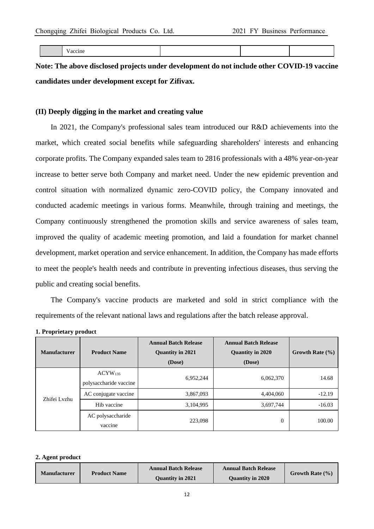| - -<br>----<br>v accine<br> |  |  |  |
|-----------------------------|--|--|--|
|-----------------------------|--|--|--|

**Note: The above disclosed projects under development do not include other COVID-19 vaccine candidates under development except for Zifivax.**

### **(II) Deeply digging in the market and creating value**

In 2021, the Company's professional sales team introduced our R&D achievements into the market, which created social benefits while safeguarding shareholders' interests and enhancing corporate profits. The Company expanded sales team to 2816 professionals with a 48% year-on-year increase to better serve both Company and market need. Under the new epidemic prevention and control situation with normalized dynamic zero-COVID policy, the Company innovated and conducted academic meetings in various forms. Meanwhile, through training and meetings, the Company continuously strengthened the promotion skills and service awareness of sales team, improved the quality of academic meeting promotion, and laid a foundation for market channel development, market operation and service enhancement. In addition, the Company has made efforts to meet the people's health needs and contribute in preventing infectious diseases, thus serving the public and creating social benefits.

The Company's vaccine products are marketed and sold in strict compliance with the requirements of the relevant national laws and regulations after the batch release approval.

|  | 1. Proprietary product |
|--|------------------------|
|--|------------------------|

| <b>Manufacturer</b> | <b>Product Name</b>                    | <b>Annual Batch Release</b><br><b>Quantity in 2021</b><br>(Dose) | <b>Annual Batch Release</b><br><b>Quantity in 2020</b><br>(Dose) | Growth Rate $(\% )$ |
|---------------------|----------------------------------------|------------------------------------------------------------------|------------------------------------------------------------------|---------------------|
|                     | $ACYW_{135}$<br>polysaccharide vaccine | 6,952,244                                                        | 6,062,370                                                        | 14.68               |
| Zhifei Lyzhu        | AC conjugate vaccine                   | 3,867,093                                                        | 4,404,060                                                        | $-12.19$            |
|                     | Hib vaccine                            | 3,104,995                                                        | 3,697,744                                                        | $-16.03$            |
|                     | AC polysaccharide<br>vaccine           | 223,098                                                          | $\Omega$                                                         | 100.00              |

#### **2. Agent product**

| <b>Manufacturer</b> | <b>Product Name</b> | <b>Annual Batch Release</b> | <b>Annual Batch Release</b> | Growth Rate $(\% )$ |
|---------------------|---------------------|-----------------------------|-----------------------------|---------------------|
|                     |                     | <b>Ouantity in 2021</b>     | <b>Ouantity in 2020</b>     |                     |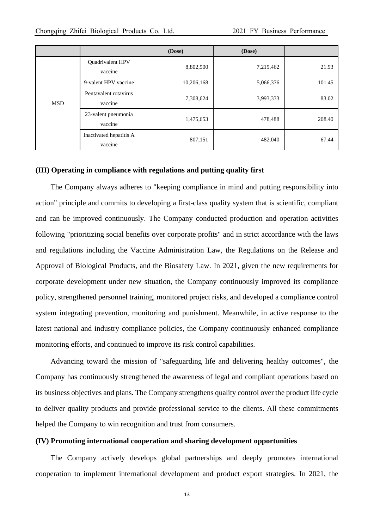|            |                                    | (Dose)     | (Dose)    |        |
|------------|------------------------------------|------------|-----------|--------|
|            | Quadrivalent HPV<br>vaccine        | 8,802,500  | 7,219,462 | 21.93  |
|            | 9-valent HPV vaccine               | 10,206,168 | 5,066,376 | 101.45 |
| <b>MSD</b> | Pentavalent rotavirus<br>vaccine   | 7,308,624  | 3,993,333 | 83.02  |
|            | 23-valent pneumonia<br>vaccine     | 1,475,653  | 478,488   | 208.40 |
|            | Inactivated hepatitis A<br>vaccine | 807,151    | 482,040   | 67.44  |

#### **(III) Operating in compliance with regulations and putting quality first**

The Company always adheres to "keeping compliance in mind and putting responsibility into action" principle and commits to developing a first-class quality system that is scientific, compliant and can be improved continuously. The Company conducted production and operation activities following "prioritizing social benefits over corporate profits" and in strict accordance with the laws and regulations including the Vaccine Administration Law, the Regulations on the Release and Approval of Biological Products, and the Biosafety Law. In 2021, given the new requirements for corporate development under new situation, the Company continuously improved its compliance policy, strengthened personnel training, monitored project risks, and developed a compliance control system integrating prevention, monitoring and punishment. Meanwhile, in active response to the latest national and industry compliance policies, the Company continuously enhanced compliance monitoring efforts, and continued to improve its risk control capabilities.

Advancing toward the mission of "safeguarding life and delivering healthy outcomes", the Company has continuously strengthened the awareness of legal and compliant operations based on its business objectives and plans. The Company strengthens quality control over the product life cycle to deliver quality products and provide professional service to the clients. All these commitments helped the Company to win recognition and trust from consumers.

### **(IV) Promoting international cooperation and sharing development opportunities**

The Company actively develops global partnerships and deeply promotes international cooperation to implement international development and product export strategies. In 2021, the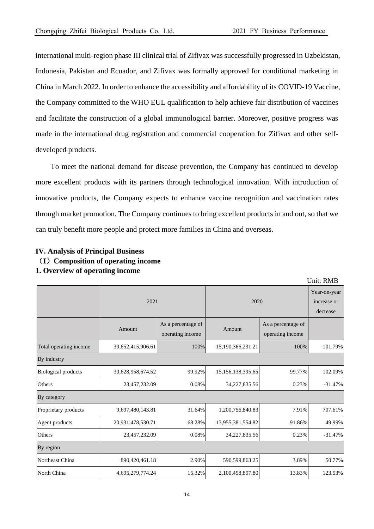international multi-region phase III clinical trial of Zifivax was successfully progressed in Uzbekistan, Indonesia, Pakistan and Ecuador, and Zifivax was formally approved for conditional marketing in China in March 2022. In order to enhance the accessibility and affordability of its COVID-19 Vaccine, the Company committed to the WHO EUL qualification to help achieve fair distribution of vaccines and facilitate the construction of a global immunological barrier. Moreover, positive progress was made in the international drug registration and commercial cooperation for Zifivax and other selfdeveloped products.

To meet the national demand for disease prevention, the Company has continued to develop more excellent products with its partners through technological innovation. With introduction of innovative products, the Company expects to enhance vaccine recognition and vaccination rates through market promotion. The Company continues to bring excellent products in and out, so that we can truly benefit more people and protect more families in China and overseas.

|                            |                   |                                        |                   |                                         | Unit: RMB |  |  |
|----------------------------|-------------------|----------------------------------------|-------------------|-----------------------------------------|-----------|--|--|
|                            | 2021              |                                        | 2020              | Year-on-year<br>increase or<br>decrease |           |  |  |
|                            | Amount            | As a percentage of<br>operating income | Amount            | As a percentage of<br>operating income  |           |  |  |
| Total operating income     | 30,652,415,906.61 | 100%                                   | 15,190,366,231.21 | 100%                                    | 101.79%   |  |  |
| By industry                |                   |                                        |                   |                                         |           |  |  |
| <b>Biological products</b> | 30,628,958,674.52 | 99.92%                                 | 15,156,138,395.65 | 99.77%                                  | 102.09%   |  |  |
| Others                     | 23,457,232.09     | 0.08%                                  | 34,227,835.56     | 0.23%                                   | $-31.47%$ |  |  |
| By category                |                   |                                        |                   |                                         |           |  |  |
| Proprietary products       | 9,697,480,143.81  | 31.64%                                 | 1,200,756,840.83  | 7.91%                                   | 707.61%   |  |  |
| Agent products             | 20,931,478,530.71 | 68.28%                                 | 13,955,381,554.82 | 91.86%                                  | 49.99%    |  |  |
| Others                     | 23,457,232.09     | 0.08%                                  | 34,227,835.56     | 0.23%                                   | $-31.47%$ |  |  |
| By region                  |                   |                                        |                   |                                         |           |  |  |
| Northeast China            | 890,420,461.18    | 2.90%                                  | 590,599,863.25    | 3.89%                                   | 50.77%    |  |  |
| North China                | 4,695,279,774.24  | 15.32%                                 | 2,100,498,897.80  | 13.83%                                  | 123.53%   |  |  |

### **IV. Analysis of Principal Business** (**I**)**Composition of operating income 1. Overview of operating income**

14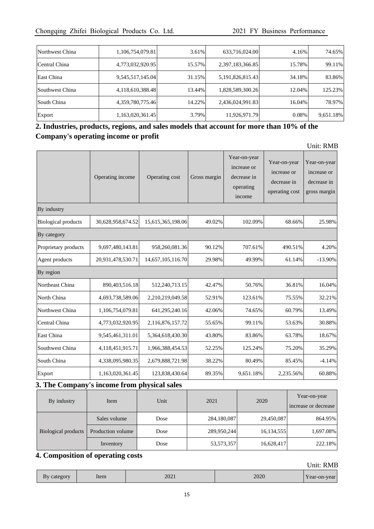| Northwest China | 1,106,754,079.81 | 3.61%  | 633,716,024.00   | 4.16%  | 74.65%    |
|-----------------|------------------|--------|------------------|--------|-----------|
| Central China   | 4,773,032,920.95 | 15.57% | 2,397,183,366.85 | 15.78% | 99.11%    |
| East China      | 9,545,517,145.04 | 31.15% | 5,191,826,815.43 | 34.18% | 83.86%    |
| Southwest China | 4,118,610,388.48 | 13.44% | 1,828,589,300.26 | 12.04% | 125.23%   |
| South China     | 4,359,780,775.46 | 14.22% | 2,436,024,991.83 | 16.04% | 78.97%    |
| Export          | 1,163,020,361.45 | 3.79%  | 11,926,971.79    | 0.08%  | 9,651.18% |

## **2. Industries, products, regions, and sales models that account for more than 10% of the Company's operating income or profit**

Unit: RMB

|                            | Operating income  | Operating cost    | Gross margin | Year-on-year<br>increase or<br>decrease in<br>operating<br>income | Year-on-year<br>increase or<br>decrease in<br>operating cost | Year-on-year<br>increase or<br>decrease in<br>gross margin |
|----------------------------|-------------------|-------------------|--------------|-------------------------------------------------------------------|--------------------------------------------------------------|------------------------------------------------------------|
| By industry                |                   |                   |              |                                                                   |                                                              |                                                            |
| <b>Biological products</b> | 30,628,958,674.52 | 15,615,365,198.06 | 49.02%       | 102.09%                                                           | 68.66%                                                       | 25.98%                                                     |
| By category                |                   |                   |              |                                                                   |                                                              |                                                            |
| Proprietary products       | 9,697,480,143.81  | 958,260,081.36    | 90.12%       | 707.61%                                                           | 490.51%                                                      | 4.20%                                                      |
| Agent products             | 20,931,478,530.71 | 14,657,105,116.70 | 29.98%       | 49.99%                                                            | 61.14%                                                       | $-13.90\%$                                                 |
| By region                  |                   |                   |              |                                                                   |                                                              |                                                            |
| Northeast China            | 890,403,516.18    | 512,240,713.15    | 42.47%       | 50.76%                                                            | 36.81%                                                       | 16.04%                                                     |
| North China                | 4,693,738,589.06  | 2,210,219,049.58  | 52.91%       | 123.61%                                                           | 75.55%                                                       | 32.21%                                                     |
| Northwest China            | 1,106,754,079.81  | 641,295,240.16    | 42.06%       | 74.65%                                                            | 60.79%                                                       | 13.49%                                                     |
| Central China              | 4,773,032,920.95  | 2,116,876,157.72  | 55.65%       | 99.11%                                                            | 53.63%                                                       | 30.88%                                                     |
| East China                 | 9,545,461,311.01  | 5,364,618,430.30  | 43.80%       | 83.86%                                                            | 63.78%                                                       | 18.67%                                                     |
| Southwest China            | 4,118,451,915.71  | 1,966,388,454.53  | 52.25%       | 125.24%                                                           | 75.20%                                                       | 35.29%                                                     |
| South China                | 4,338,095,980.35  | 2,679,888,721.98  | 38.22%       | 80.49%                                                            | 85.45%                                                       | $-4.14%$                                                   |
| Export                     | 1,163,020,361.45  | 123,838,430.64    | 89.35%       | 9,651.18%                                                         | 2,235.56%                                                    | 60.88%                                                     |

### **3. The Company's income from physical sales**

| By industry         | Item              | Unit | 2021        | 2020       | Year-on-year<br>increase or decrease |
|---------------------|-------------------|------|-------------|------------|--------------------------------------|
|                     | Sales volume      | Dose | 284,180,087 | 29,450,087 | 864.95%                              |
| Biological products | Production volume | Dose | 289,950,244 | 16,134,555 | 1,697.08%                            |
|                     | Inventory         | Dose | 53,573,357  | 16,628,417 | 222.18%                              |

# **4. Composition of operating costs**

| JOT<br>$\Omega$<br>ΔV<br>U | tem | 2021 | ാറാറ<br>ZUZU | $N\rho$ ar<br>$\alpha$<br>-on-<br>I cal.<br><b>Cal</b> |
|----------------------------|-----|------|--------------|--------------------------------------------------------|
|----------------------------|-----|------|--------------|--------------------------------------------------------|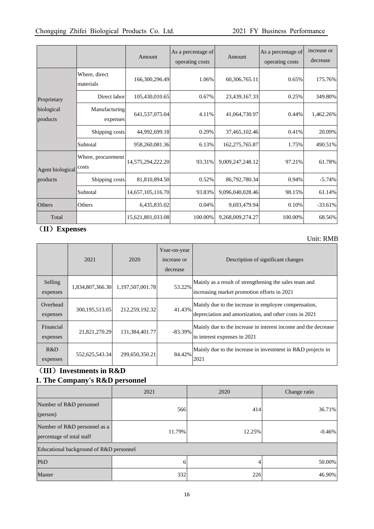|                        |                            | Amount            | As a percentage of<br>operating costs | Amount           | As a percentage of<br>operating costs | increase or<br>decrease |
|------------------------|----------------------------|-------------------|---------------------------------------|------------------|---------------------------------------|-------------------------|
|                        | Where, direct<br>materials | 166,300,296.49    | 1.06%                                 | 60,306,765.11    | 0.65%                                 | 175.76%                 |
| Proprietary            | Direct labor               | 105,430,010.65    | 0.67%                                 | 23,439,167.33    | 0.25%                                 | 349.80%                 |
| biological<br>products | Manufacturing<br>expenses  | 641,537,075.04    | 4.11%                                 | 41,064,730.97    | 0.44%                                 | 1,462.26%               |
|                        | Shipping costs             | 44,992,699.18     | 0.29%                                 | 37,465,102.46    | 0.41%                                 | 20.09%                  |
|                        | Subtotal                   | 958,260,081.36    | 6.13%                                 | 162,275,765.87   | 1.75%                                 | 490.51%                 |
| Agent biological costs | Where, procurement         | 14,575,294,222.20 | 93.31%                                | 9,009,247,248.12 | 97.21%                                | 61.78%                  |
| products               | Shipping costs             | 81,810,894.50     | 0.52%                                 | 86,792,780.34    | 0.94%                                 | $-5.74%$                |
|                        | Subtotal                   | 14,657,105,116.70 | 93.83%                                | 9,096,040,028.46 | 98.15%                                | 61.14%                  |
| Others                 | Others                     | 6,435,835.02      | 0.04%                                 | 9,693,479.94     | 0.10%                                 | $-33.61\%$              |
| Total                  |                            | 15,621,801,033.08 | 100.00%                               | 9,268,009,274.27 | 100.00%                               | 68.56%                  |

# (**II**)**Expenses**

### Unit: RMB

|                       | 2021             | 2020             | Year-on-year<br>increase or<br>decrease | Description of significant changes                                                                             |
|-----------------------|------------------|------------------|-----------------------------------------|----------------------------------------------------------------------------------------------------------------|
| Selling<br>expenses   | 1,834,807,366.30 | 1,197,507,001.78 | 53.22%                                  | Mainly as a result of strengthening the sales team and<br>increasing market promotion efforts in 2021          |
| Overhead<br>expenses  | 300, 195, 513.05 | 212,259,192.32   | 41.43%                                  | Mainly due to the increase in employee compensation,<br>depreciation and amortization, and other costs in 2021 |
| Financial<br>expenses | 21,821,270.29    | 131,384,401.77   | $-83.39\%$                              | Mainly due to the increase in interest income and the decrease<br>in interest expenses in 2021                 |
| R&D<br>expenses       | 552,625,543.34   | 299,650,350.21   | 84.42%                                  | Mainly due to the increase in investment in R&D projects in<br>2021                                            |

# (**III**)**Investments in R&D 1. The Company's R&D personnel**

|                                                           | 2021   | 2020   | Change ratio |  |  |
|-----------------------------------------------------------|--------|--------|--------------|--|--|
| Number of R&D personnel<br>(person)                       | 566    | 414    | 36.71%       |  |  |
| Number of R&D personnel as a<br>percentage of total staff | 11.79% | 12.25% | $-0.46%$     |  |  |
| Educational background of R&D personnel                   |        |        |              |  |  |
| PhD                                                       | 6      | 4      | 50.00%       |  |  |
| Master                                                    | 332    | 226    | 46.90%       |  |  |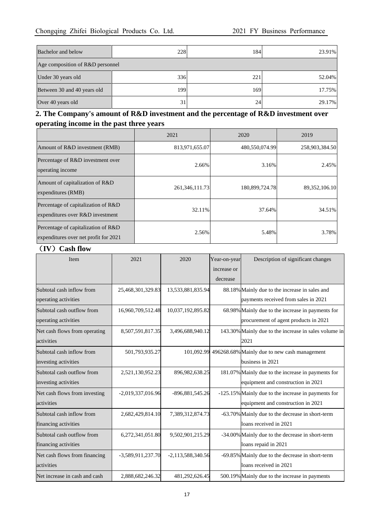| Bachelor and below               | 228 | 184 | 23.91% |
|----------------------------------|-----|-----|--------|
| Age composition of R&D personnel |     |     |        |
| Under 30 years old               | 336 | 221 | 52.04% |
| Between 30 and 40 years old      | 199 | 169 | 17.75% |
| Over 40 years old                | 31  | 24  | 29.17% |

# **2. The Company's amount of R&D investment and the percentage of R&D investment over operating income in the past three years**

|                                                                              | 2021              | 2020           | 2019             |
|------------------------------------------------------------------------------|-------------------|----------------|------------------|
| Amount of R&D investment (RMB)                                               | 813,971,655.07    | 480,550,074.99 | 258,903,384.50   |
| Percentage of R&D investment over<br>operating income                        | 2.66%             | 3.16%          | 2.45%            |
| Amount of capitalization of R&D<br>expenditures (RMB)                        | 261, 346, 111. 73 | 180,899,724.78 | 89, 352, 106. 10 |
| Percentage of capitalization of R&D<br>expenditures over R&D investment      | 32.11%            | 37.64%         | 34.51%           |
| Percentage of capitalization of R&D<br>expenditures over net profit for 2021 | 2.56%             | 5.48%          | 3.78%            |

## (**IV**)**Cash flow**

| Item                          | 2021              | 2020                | Year-on-year | Description of significant changes                      |
|-------------------------------|-------------------|---------------------|--------------|---------------------------------------------------------|
|                               |                   |                     | increase or  |                                                         |
|                               |                   |                     | decrease     |                                                         |
| Subtotal cash inflow from     | 25,468,301,329.83 | 13,533,881,835.94   |              | 88.18% Mainly due to the increase in sales and          |
| operating activities          |                   |                     |              | payments received from sales in 2021                    |
| Subtotal cash outflow from    | 16,960,709,512.48 | 10,037,192,895.82   |              | 68.98% Mainly due to the increase in payments for       |
| operating activities          |                   |                     |              | procurement of agent products in 2021                   |
| Net cash flows from operating | 8,507,591,817.35  | 3,496,688,940.12    |              | 143.30% Mainly due to the increase in sales volume in   |
| activities                    |                   |                     |              | 2021                                                    |
| Subtotal cash inflow from     | 501,793,935.27    |                     |              | 101,092.99 496268.68% Mainly due to new cash management |
| investing activities          |                   |                     |              | business in 2021                                        |
| Subtotal cash outflow from    | 2,521,130,952.23  | 896,982,638.25      |              | 181.07% Mainly due to the increase in payments for      |
| investing activities          |                   |                     |              | equipment and construction in 2021                      |
| Net cash flows from investing | -2,019,337,016.96 | -896,881,545.26     |              | -125.15% Mainly due to the increase in payments for     |
| activities                    |                   |                     |              | equipment and construction in 2021                      |
| Subtotal cash inflow from     | 2,682,429,814.10  | 7,389,312,874.73    |              | -63.70% Mainly due to the decrease in short-term        |
| financing activities          |                   |                     |              | loans received in 2021                                  |
| Subtotal cash outflow from    | 6,272,341,051.80  | 9,502,901,215.29    |              | -34.00% Mainly due to the decrease in short-term        |
| financing activities          |                   |                     |              | loans repaid in 2021                                    |
| Net cash flows from financing | -3,589,911,237.70 | $-2,113,588,340.56$ |              | -69.85% Mainly due to the decrease in short-term        |
| activities                    |                   |                     |              | loans received in 2021                                  |
| Net increase in cash and cash | 2,888,682,246.32  | 481,292,626.45      |              | 500.19% Mainly due to the increase in payments          |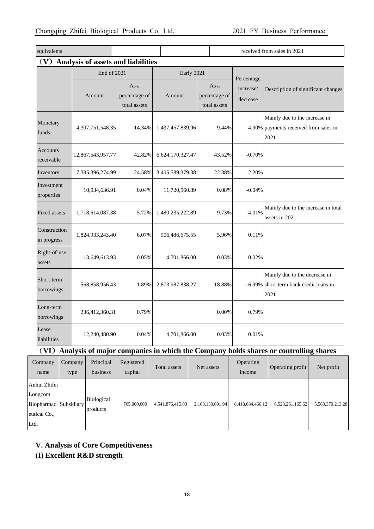| equivalents                                      |                   |                                       |                  |  | received from sales in 2021           |                                     |                                                                                  |  |
|--------------------------------------------------|-------------------|---------------------------------------|------------------|--|---------------------------------------|-------------------------------------|----------------------------------------------------------------------------------|--|
| (V)<br><b>Analysis of assets and liabilities</b> |                   |                                       |                  |  |                                       |                                     |                                                                                  |  |
|                                                  | End of 2021       |                                       | Early 2021       |  |                                       |                                     |                                                                                  |  |
|                                                  | Amount            | As a<br>percentage of<br>total assets | Amount           |  | As a<br>percentage of<br>total assets | Percentage<br>increase/<br>decrease | Description of significant changes                                               |  |
| Monetary<br>funds                                | 4,307,751,548.35  | 14.34%                                | 1,437,457,839.96 |  | 9.44%                                 |                                     | Mainly due to the increase in<br>4.90% payments received from sales in<br>2021   |  |
| Accounts<br>receivable                           | 12,867,543,957.77 | 42.82%                                | 6,624,170,327.47 |  | 43.52%                                | $-0.70%$                            |                                                                                  |  |
| Inventory                                        | 7,385,396,274.99  | 24.58%                                | 3,405,589,379.38 |  | 22.38%                                | 2.20%                               |                                                                                  |  |
| Investment<br>properties                         | 10,934,636.91     | 0.04%                                 | 11,720,960.89    |  | 0.08%                                 | $-0.04%$                            |                                                                                  |  |
| <b>Fixed assets</b>                              | 1,718,614,087.38  | 5.72%                                 | 1,480,235,222.89 |  | 9.73%                                 | $-4.01%$                            | Mainly due to the increase in total<br>assets in 2021                            |  |
| Construction<br>in progress                      | 1,824,933,243.40  | 6.07%                                 | 906,486,675.55   |  | 5.96%                                 | 0.11%                               |                                                                                  |  |
| Right-of-use<br>assets                           | 13,649,613.93     | 0.05%                                 | 4,701,866.00     |  | 0.03%                                 | 0.02%                               |                                                                                  |  |
| Short-term<br>borrowings                         | 568,858,956.43    | 1.89%                                 | 2,873,987,838.27 |  | 18.88%                                |                                     | Mainly due to the decrease in<br>-16.99% short-term bank credit loans in<br>2021 |  |
| Long-term<br>borrowings                          | 236,412,360.31    | 0.79%                                 |                  |  | 0.00%                                 | 0.79%                               |                                                                                  |  |
| Lease<br>liabilities                             | 12,240,480.90     | 0.04%                                 | 4,701,866.00     |  | 0.03%                                 | 0.01%                               |                                                                                  |  |

# (**VI**)**Analysis of major companies in which the Company holds shares or controlling shares**

| Company<br>name                                                          | Company<br>type | Principal<br>business         | Registered<br>capital | Total assets     | Net assets       | Operating<br>income | Operating profit | Net profit       |
|--------------------------------------------------------------------------|-----------------|-------------------------------|-----------------------|------------------|------------------|---------------------|------------------|------------------|
| Anhui Zhifei<br>Longcom<br>Biopharmac Subsidiary<br>eutical Co.,<br>Ltd. |                 | <b>Biological</b><br>products | 765,000,000           | 4,541,876,415.03 | 2,168,130,691.94 | 8,418,684,466.12    | 6,523,261,165.62 | 5,580,370,213.28 |

## **V. Analysis of Core Competitiveness**

## **(I) Excellent R&D strength**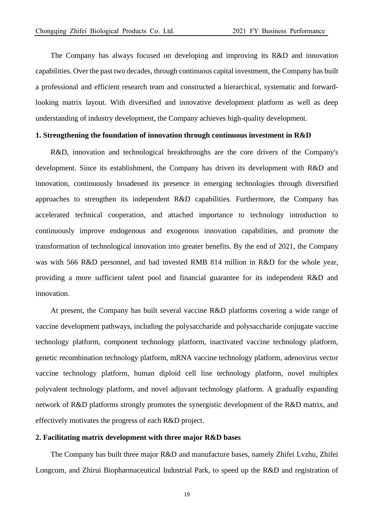The Company has always focused on developing and improving its R&D and innovation capabilities. Over the past two decades, through continuous capital investment, the Company has built a professional and efficient research team and constructed a hierarchical, systematic and forwardlooking matrix layout. With diversified and innovative development platform as well as deep understanding of industry development, the Company achieves high-quality development.

### **1. Strengthening the foundation of innovation through continuous investment in R&D**

R&D, innovation and technological breakthroughs are the core drivers of the Company's development. Since its establishment, the Company has driven its development with R&D and innovation, continuously broadened its presence in emerging technologies through diversified approaches to strengthen its independent R&D capabilities. Furthermore, the Company has accelerated technical cooperation, and attached importance to technology introduction to continuously improve endogenous and exogenous innovation capabilities, and promote the transformation of technological innovation into greater benefits. By the end of 2021, the Company was with 566 R&D personnel, and had invested RMB 814 million in R&D for the whole year, providing a more sufficient talent pool and financial guarantee for its independent R&D and innovation.

At present, the Company has built several vaccine R&D platforms covering a wide range of vaccine development pathways, including the polysaccharide and polysaccharide conjugate vaccine technology platform, component technology platform, inactivated vaccine technology platform, genetic recombination technology platform, mRNA vaccine technology platform, adenovirus vector vaccine technology platform, human diploid cell line technology platform, novel multiplex polyvalent technology platform, and novel adjuvant technology platform. A gradually expanding network of R&D platforms strongly promotes the synergistic development of the R&D matrix, and effectively motivates the progress of each R&D project.

### **2. Facilitating matrix development with three major R&D bases**

The Company has built three major R&D and manufacture bases, namely Zhifei Lvzhu, Zhifei Longcom, and Zhirui Biopharmaceutical Industrial Park, to speed up the R&D and registration of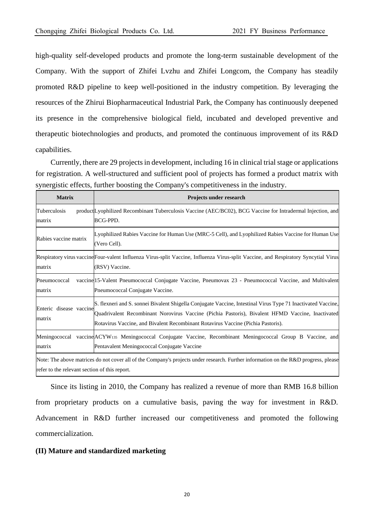high-quality self-developed products and promote the long-term sustainable development of the Company. With the support of Zhifei Lvzhu and Zhifei Longcom, the Company has steadily promoted R&D pipeline to keep well-positioned in the industry competition. By leveraging the resources of the Zhirui Biopharmaceutical Industrial Park, the Company has continuously deepened its presence in the comprehensive biological field, incubated and developed preventive and therapeutic biotechnologies and products, and promoted the continuous improvement of its R&D capabilities.

Currently, there are 29 projects in development, including 16 in clinical trial stage or applications for registration. A well-structured and sufficient pool of projects has formed a product matrix with synergistic effects, further boosting the Company's competitiveness in the industry.

| <b>Matrix</b>                                 | Projects under research                                                                                                                                                                                                                                                                              |
|-----------------------------------------------|------------------------------------------------------------------------------------------------------------------------------------------------------------------------------------------------------------------------------------------------------------------------------------------------------|
| Tuberculosis<br>matrix                        | product[Lyophilized Recombinant Tuberculosis Vaccine (AEC/BC02), BCG Vaccine for Intradermal Injection, and<br>BCG-PPD.                                                                                                                                                                              |
| Rabies vaccine matrix                         | Lyophilized Rabies Vaccine for Human Use (MRC-5 Cell), and Lyophilized Rabies Vaccine for Human Use<br>(Vero Cell).                                                                                                                                                                                  |
| matrix                                        | Respiratory virus vaccine Four-valent Influenza Virus-split Vaccine, Influenza Virus-split Vaccine, and Respiratory Syncytial Virus<br>(RSV) Vaccine.                                                                                                                                                |
| Pneumococcal<br>matrix                        | vaccine 15-Valent Pneumococcal Conjugate Vaccine, Pneumovax 23 - Pneumococcal Vaccine, and Multivalent<br>Pneumococcal Conjugate Vaccine.                                                                                                                                                            |
| Enteric disease vaccine<br>matrix             | S. flexneri and S. sonnei Bivalent Shigella Conjugate Vaccine, Intestinal Virus Type 71 Inactivated Vaccine,<br>Quadrivalent Recombinant Norovirus Vaccine (Pichia Pastoris), Bivalent HFMD Vaccine, Inactivated<br>Rotavirus Vaccine, and Bivalent Recombinant Rotavirus Vaccine (Pichia Pastoris). |
| matrix                                        | Meningococcal vaccine ACYW <sub>135</sub> Meningococcal Conjugate Vaccine, Recombinant Meningococcal Group B Vaccine, and<br>Pentavalent Meningococcal Conjugate Vaccine                                                                                                                             |
| refer to the relevant section of this report. | Note: The above matrices do not cover all of the Company's projects under research. Further information on the R&D progress, please                                                                                                                                                                  |

Since its listing in 2010, the Company has realized a revenue of more than RMB 16.8 billion from proprietary products on a cumulative basis, paving the way for investment in R&D. Advancement in R&D further increased our competitiveness and promoted the following commercialization.

#### **(II) Mature and standardized marketing**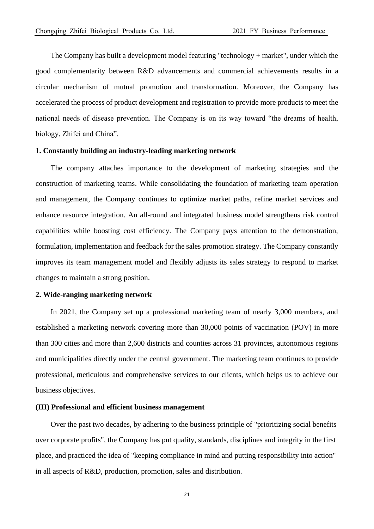The Company has built a development model featuring "technology + market", under which the good complementarity between R&D advancements and commercial achievements results in a circular mechanism of mutual promotion and transformation. Moreover, the Company has accelerated the process of product development and registration to provide more products to meet the national needs of disease prevention. The Company is on its way toward "the dreams of health, biology, Zhifei and China".

### **1. Constantly building an industry-leading marketing network**

 The company attaches importance to the development of marketing strategies and the construction of marketing teams. While consolidating the foundation of marketing team operation and management, the Company continues to optimize market paths, refine market services and enhance resource integration. An all-round and integrated business model strengthens risk control capabilities while boosting cost efficiency. The Company pays attention to the demonstration, formulation, implementation and feedback for the sales promotion strategy. The Company constantly improves its team management model and flexibly adjusts its sales strategy to respond to market changes to maintain a strong position.

### **2. Wide-ranging marketing network**

In 2021, the Company set up a professional marketing team of nearly 3,000 members, and established a marketing network covering more than 30,000 points of vaccination (POV) in more than 300 cities and more than 2,600 districts and counties across 31 provinces, autonomous regions and municipalities directly under the central government. The marketing team continues to provide professional, meticulous and comprehensive services to our clients, which helps us to achieve our business objectives.

#### **(III) Professional and efficient business management**

Over the past two decades, by adhering to the business principle of "prioritizing social benefits over corporate profits", the Company has put quality, standards, disciplines and integrity in the first place, and practiced the idea of "keeping compliance in mind and putting responsibility into action" in all aspects of R&D, production, promotion, sales and distribution.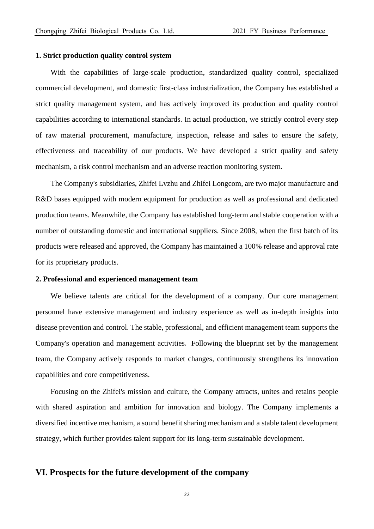#### **1. Strict production quality control system**

With the capabilities of large-scale production, standardized quality control, specialized commercial development, and domestic first-class industrialization, the Company has established a strict quality management system, and has actively improved its production and quality control capabilities according to international standards. In actual production, we strictly control every step of raw material procurement, manufacture, inspection, release and sales to ensure the safety, effectiveness and traceability of our products. We have developed a strict quality and safety mechanism, a risk control mechanism and an adverse reaction monitoring system.

The Company's subsidiaries, Zhifei Lvzhu and Zhifei Longcom, are two major manufacture and R&D bases equipped with modern equipment for production as well as professional and dedicated production teams. Meanwhile, the Company has established long-term and stable cooperation with a number of outstanding domestic and international suppliers. Since 2008, when the first batch of its products were released and approved, the Company has maintained a 100% release and approval rate for its proprietary products.

### **2. Professional and experienced management team**

We believe talents are critical for the development of a company. Our core management personnel have extensive management and industry experience as well as in-depth insights into disease prevention and control. The stable, professional, and efficient management team supports the Company's operation and management activities. Following the blueprint set by the management team, the Company actively responds to market changes, continuously strengthens its innovation capabilities and core competitiveness.

Focusing on the Zhifei's mission and culture, the Company attracts, unites and retains people with shared aspiration and ambition for innovation and biology. The Company implements a diversified incentive mechanism, a sound benefit sharing mechanism and a stable talent development strategy, which further provides talent support for its long-term sustainable development.

### **VI. Prospects for the future development of the company**

22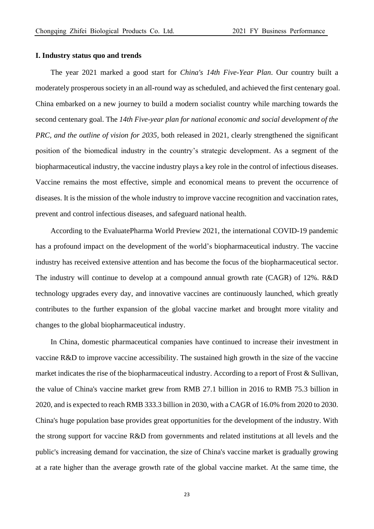#### **I. Industry status quo and trends**

The year 2021 marked a good start for *China's 14th Five-Year Plan*. Our country built a moderately prosperous society in an all-round way as scheduled, and achieved the first centenary goal. China embarked on a new journey to build a modern socialist country while marching towards the second centenary goal. The *14th Five-year plan for national economic and social development of the PRC, and the outline of vision for 2035,* both released in 2021, clearly strengthened the significant position of the biomedical industry in the country's strategic development. As a segment of the biopharmaceutical industry, the vaccine industry plays a key role in the control of infectious diseases. Vaccine remains the most effective, simple and economical means to prevent the occurrence of diseases. It is the mission of the whole industry to improve vaccine recognition and vaccination rates, prevent and control infectious diseases, and safeguard national health.

According to the EvaluatePharma World Preview 2021, the international COVID-19 pandemic has a profound impact on the development of the world's biopharmaceutical industry. The vaccine industry has received extensive attention and has become the focus of the biopharmaceutical sector. The industry will continue to develop at a compound annual growth rate (CAGR) of 12%. R&D technology upgrades every day, and innovative vaccines are continuously launched, which greatly contributes to the further expansion of the global vaccine market and brought more vitality and changes to the global biopharmaceutical industry.

In China, domestic pharmaceutical companies have continued to increase their investment in vaccine R&D to improve vaccine accessibility. The sustained high growth in the size of the vaccine market indicates the rise of the biopharmaceutical industry. According to a report of Frost & Sullivan, the value of China's vaccine market grew from RMB 27.1 billion in 2016 to RMB 75.3 billion in 2020, and is expected to reach RMB 333.3 billion in 2030, with a CAGR of 16.0% from 2020 to 2030. China's huge population base provides great opportunities for the development of the industry. With the strong support for vaccine R&D from governments and related institutions at all levels and the public's increasing demand for vaccination, the size of China's vaccine market is gradually growing at a rate higher than the average growth rate of the global vaccine market. At the same time, the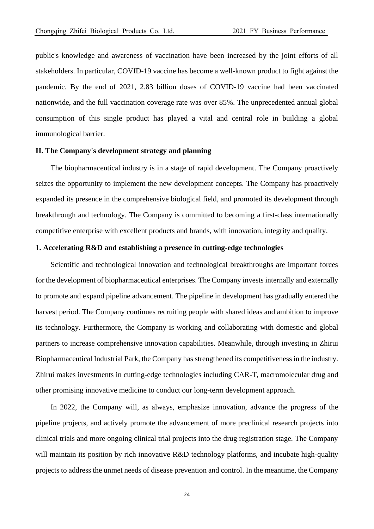public's knowledge and awareness of vaccination have been increased by the joint efforts of all stakeholders. In particular, COVID-19 vaccine has become a well-known product to fight against the pandemic. By the end of 2021, 2.83 billion doses of COVID-19 vaccine had been vaccinated nationwide, and the full vaccination coverage rate was over 85%. The unprecedented annual global consumption of this single product has played a vital and central role in building a global immunological barrier.

### **II. The Company's development strategy and planning**

The biopharmaceutical industry is in a stage of rapid development. The Company proactively seizes the opportunity to implement the new development concepts. The Company has proactively expanded its presence in the comprehensive biological field, and promoted its development through breakthrough and technology. The Company is committed to becoming a first-class internationally competitive enterprise with excellent products and brands, with innovation, integrity and quality.

### **1. Accelerating R&D and establishing a presence in cutting-edge technologies**

Scientific and technological innovation and technological breakthroughs are important forces for the development of biopharmaceutical enterprises. The Company invests internally and externally to promote and expand pipeline advancement. The pipeline in development has gradually entered the harvest period. The Company continues recruiting people with shared ideas and ambition to improve its technology. Furthermore, the Company is working and collaborating with domestic and global partners to increase comprehensive innovation capabilities. Meanwhile, through investing in Zhirui Biopharmaceutical Industrial Park, the Company has strengthened its competitiveness in the industry. Zhirui makes investments in cutting-edge technologies including CAR-T, macromolecular drug and other promising innovative medicine to conduct our long-term development approach.

In 2022, the Company will, as always, emphasize innovation, advance the progress of the pipeline projects, and actively promote the advancement of more preclinical research projects into clinical trials and more ongoing clinical trial projects into the drug registration stage. The Company will maintain its position by rich innovative R&D technology platforms, and incubate high-quality projects to address the unmet needs of disease prevention and control. In the meantime, the Company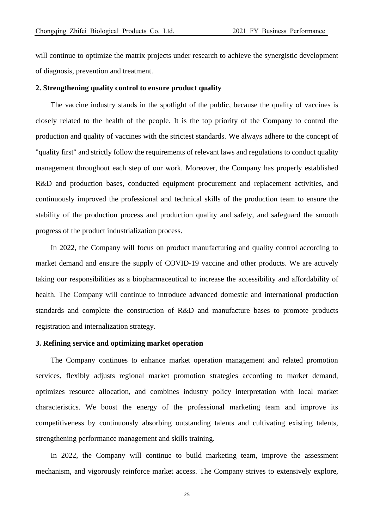will continue to optimize the matrix projects under research to achieve the synergistic development of diagnosis, prevention and treatment.

#### **2. Strengthening quality control to ensure product quality**

The vaccine industry stands in the spotlight of the public, because the quality of vaccines is closely related to the health of the people. It is the top priority of the Company to control the production and quality of vaccines with the strictest standards. We always adhere to the concept of "quality first" and strictly follow the requirements of relevant laws and regulations to conduct quality management throughout each step of our work. Moreover, the Company has properly established R&D and production bases, conducted equipment procurement and replacement activities, and continuously improved the professional and technical skills of the production team to ensure the stability of the production process and production quality and safety, and safeguard the smooth progress of the product industrialization process.

In 2022, the Company will focus on product manufacturing and quality control according to market demand and ensure the supply of COVID-19 vaccine and other products. We are actively taking our responsibilities as a biopharmaceutical to increase the accessibility and affordability of health. The Company will continue to introduce advanced domestic and international production standards and complete the construction of R&D and manufacture bases to promote products registration and internalization strategy.

### **3. Refining service and optimizing market operation**

The Company continues to enhance market operation management and related promotion services, flexibly adjusts regional market promotion strategies according to market demand, optimizes resource allocation, and combines industry policy interpretation with local market characteristics. We boost the energy of the professional marketing team and improve its competitiveness by continuously absorbing outstanding talents and cultivating existing talents, strengthening performance management and skills training.

In 2022, the Company will continue to build marketing team, improve the assessment mechanism, and vigorously reinforce market access. The Company strives to extensively explore,

25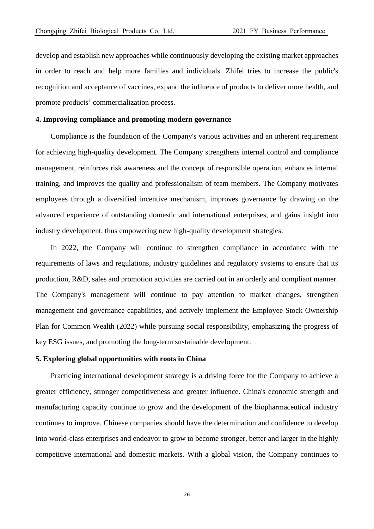develop and establish new approaches while continuously developing the existing market approaches in order to reach and help more families and individuals. Zhifei tries to increase the public's recognition and acceptance of vaccines, expand the influence of products to deliver more health, and promote products' commercialization process.

### **4. Improving compliance and promoting modern governance**

Compliance is the foundation of the Company's various activities and an inherent requirement for achieving high-quality development. The Company strengthens internal control and compliance management, reinforces risk awareness and the concept of responsible operation, enhances internal training, and improves the quality and professionalism of team members. The Company motivates employees through a diversified incentive mechanism, improves governance by drawing on the advanced experience of outstanding domestic and international enterprises, and gains insight into industry development, thus empowering new high-quality development strategies.

In 2022, the Company will continue to strengthen compliance in accordance with the requirements of laws and regulations, industry guidelines and regulatory systems to ensure that its production, R&D, sales and promotion activities are carried out in an orderly and compliant manner. The Company's management will continue to pay attention to market changes, strengthen management and governance capabilities, and actively implement the Employee Stock Ownership Plan for Common Wealth (2022) while pursuing social responsibility, emphasizing the progress of key ESG issues, and promoting the long-term sustainable development.

#### **5. Exploring global opportunities with roots in China**

Practicing international development strategy is a driving force for the Company to achieve a greater efficiency, stronger competitiveness and greater influence. China's economic strength and manufacturing capacity continue to grow and the development of the biopharmaceutical industry continues to improve. Chinese companies should have the determination and confidence to develop into world-class enterprises and endeavor to grow to become stronger, better and larger in the highly competitive international and domestic markets. With a global vision, the Company continues to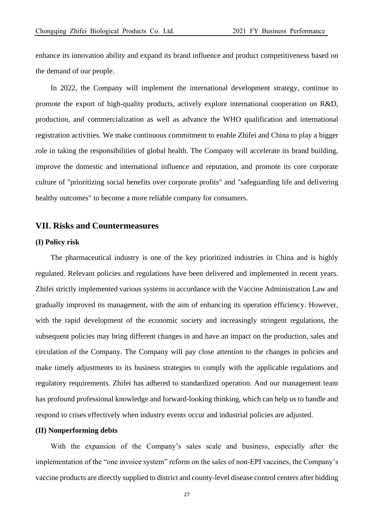enhance its innovation ability and expand its brand influence and product competitiveness based on the demand of our people.

In 2022, the Company will implement the international development strategy, continue to promote the export of high-quality products, actively explore international cooperation on R&D, production, and commercialization as well as advance the WHO qualification and international registration activities. We make continuous commitment to enable Zhifei and China to play a bigger role in taking the responsibilities of global health. The Company will accelerate its brand building, improve the domestic and international influence and reputation, and promote its core corporate culture of "prioritizing social benefits over corporate profits" and "safeguarding life and delivering healthy outcomes" to become a more reliable company for consumers.

### **VII. Risks and Countermeasures**

#### **(I) Policy risk**

The pharmaceutical industry is one of the key prioritized industries in China and is highly regulated. Relevant policies and regulations have been delivered and implemented in recent years. Zhifei strictly implemented various systems in accordance with the Vaccine Administration Law and gradually improved its management, with the aim of enhancing its operation efficiency. However, with the rapid development of the economic society and increasingly stringent regulations, the subsequent policies may bring different changes in and have an impact on the production, sales and circulation of the Company. The Company will pay close attention to the changes in policies and make timely adjustments to its business strategies to comply with the applicable regulations and regulatory requirements. Zhifei has adhered to standardized operation. And our management team has profound professional knowledge and forward-looking thinking, which can help us to handle and respond to crises effectively when industry events occur and industrial policies are adjusted.

#### **(II) Nonperforming debts**

With the expansion of the Company's sales scale and business, especially after the implementation of the "one invoice system" reform on the sales of non-EPI vaccines, the Company's vaccine products are directly supplied to district and county-level disease control centers after bidding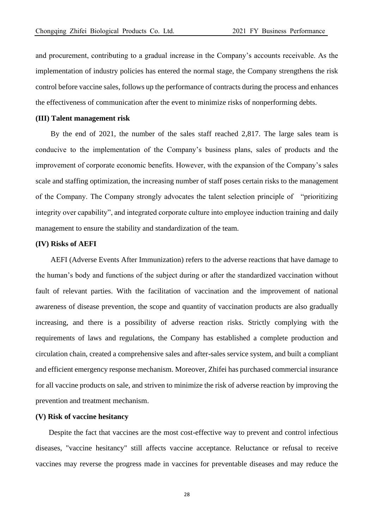and procurement, contributing to a gradual increase in the Company's accounts receivable. As the implementation of industry policies has entered the normal stage, the Company strengthens the risk control before vaccine sales, follows up the performance of contracts during the process and enhances the effectiveness of communication after the event to minimize risks of nonperforming debts.

#### **(III) Talent management risk**

By the end of 2021, the number of the sales staff reached 2,817. The large sales team is conducive to the implementation of the Company's business plans, sales of products and the improvement of corporate economic benefits. However, with the expansion of the Company's sales scale and staffing optimization, the increasing number of staff poses certain risks to the management of the Company. The Company strongly advocates the talent selection principle of "prioritizing integrity over capability", and integrated corporate culture into employee induction training and daily management to ensure the stability and standardization of the team.

### **(IV) Risks of AEFI**

AEFI (Adverse Events After Immunization) refers to the adverse reactions that have damage to the human's body and functions of the subject during or after the standardized vaccination without fault of relevant parties. With the facilitation of vaccination and the improvement of national awareness of disease prevention, the scope and quantity of vaccination products are also gradually increasing, and there is a possibility of adverse reaction risks. Strictly complying with the requirements of laws and regulations, the Company has established a complete production and circulation chain, created a comprehensive sales and after-sales service system, and built a compliant and efficient emergency response mechanism. Moreover, Zhifei has purchased commercial insurance for all vaccine products on sale, and striven to minimize the risk of adverse reaction by improving the prevention and treatment mechanism.

### **(V) Risk of vaccine hesitancy**

Despite the fact that vaccines are the most cost-effective way to prevent and control infectious diseases, "vaccine hesitancy" still affects vaccine acceptance. Reluctance or refusal to receive vaccines may reverse the progress made in vaccines for preventable diseases and may reduce the